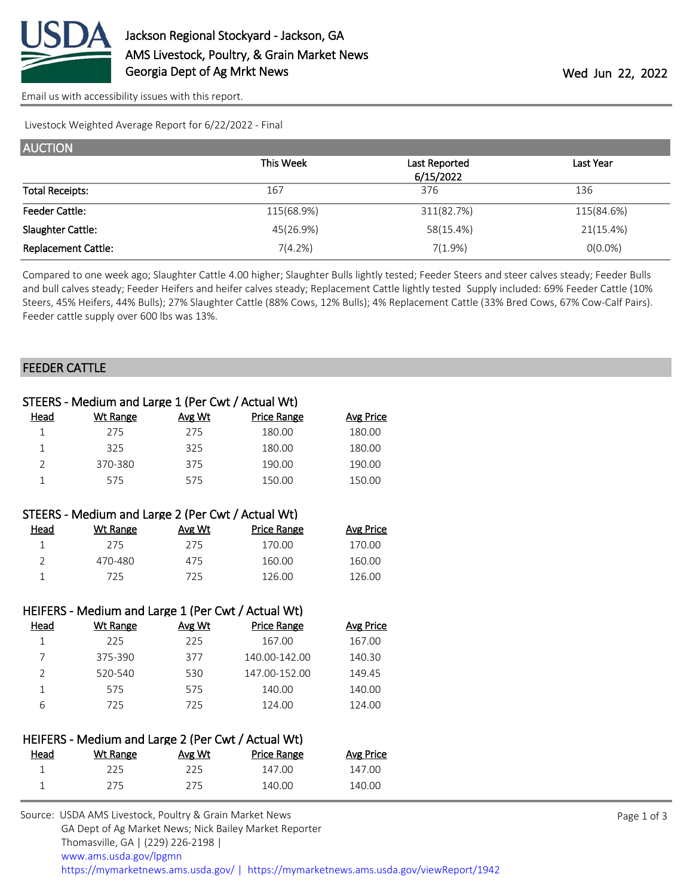

[Email us with accessibility issues with this report.](mailto:mars@ams.usda.gov?subject=508%20issue)

Livestock Weighted Average Report for 6/22/2022 - Final

| <b>AUCTION</b>             |            |               |                  |
|----------------------------|------------|---------------|------------------|
|                            | This Week  | Last Reported | <b>Last Year</b> |
|                            |            | 6/15/2022     |                  |
| <b>Total Receipts:</b>     | 167        | 376           | 136              |
| <b>Feeder Cattle:</b>      | 115(68.9%) | 311(82.7%)    | 115(84.6%)       |
| Slaughter Cattle:          | 45(26.9%)  | 58(15.4%)     | 21(15.4%)        |
| <b>Replacement Cattle:</b> | 7(4.2%)    | 7(1.9%)       | $O(0.0\%)$       |

Compared to one week ago; Slaughter Cattle 4.00 higher; Slaughter Bulls lightly tested; Feeder Steers and steer calves steady; Feeder Bulls and bull calves steady; Feeder Heifers and heifer calves steady; Replacement Cattle lightly tested Supply included: 69% Feeder Cattle (10% Steers, 45% Heifers, 44% Bulls); 27% Slaughter Cattle (88% Cows, 12% Bulls); 4% Replacement Cattle (33% Bred Cows, 67% Cow-Calf Pairs). Feeder cattle supply over 600 lbs was 13%.

#### FEEDER CATTLE

|                | STEERS - Medium and Large 1 (Per Cwt / Actual Wt)  |        |                    |                  |  |  |
|----------------|----------------------------------------------------|--------|--------------------|------------------|--|--|
| <u>Head</u>    | <b>Wt Range</b>                                    | Avg Wt | <b>Price Range</b> | <b>Avg Price</b> |  |  |
| $\mathbf{1}$   | 275                                                | 275    | 180.00             | 180.00           |  |  |
| $\mathbf 1$    | 325                                                | 325    | 180.00             | 180.00           |  |  |
| $\overline{2}$ | 370-380                                            | 375    | 190.00             | 190.00           |  |  |
| $\mathbf{1}$   | 575                                                | 575    | 150.00             | 150.00           |  |  |
|                |                                                    |        |                    |                  |  |  |
|                | STEERS - Medium and Large 2 (Per Cwt / Actual Wt)  |        |                    |                  |  |  |
| Head           | <b>Wt Range</b>                                    | Avg Wt | <b>Price Range</b> | <b>Avg Price</b> |  |  |
| $\mathbf{1}$   | 275                                                | 275    | 170.00             | 170.00           |  |  |
| $\overline{2}$ | 470-480                                            | 475    | 160.00             | 160.00           |  |  |
| $\mathbf{1}$   | 725                                                | 725    | 126.00             | 126.00           |  |  |
|                |                                                    |        |                    |                  |  |  |
|                | HEIFERS - Medium and Large 1 (Per Cwt / Actual Wt) |        |                    |                  |  |  |
| <u>Head</u>    | <b>Wt Range</b>                                    | Avg Wt | <b>Price Range</b> | <b>Avg Price</b> |  |  |
| $\mathbf{1}$   | 225                                                | 225    | 167.00             | 167.00           |  |  |
| 7              | 375-390                                            | 377    | 140.00-142.00      | 140.30           |  |  |
| 2              | 520-540                                            | 530    | 147.00-152.00      | 149.45           |  |  |
| $\mathbf{1}$   | 575                                                | 575    | 140.00             | 140.00           |  |  |
| 6              | 725                                                | 725    | 124.00             | 124.00           |  |  |
|                |                                                    |        |                    |                  |  |  |
|                | HEIFERS - Medium and Large 2 (Per Cwt / Actual Wt) |        |                    |                  |  |  |
| Head           | <b>Wt Range</b>                                    | Avg Wt | <b>Price Range</b> | <b>Avg Price</b> |  |  |
| 1              | 225                                                | 225    | 147.00             | 147.00           |  |  |
| $\mathbf{1}$   | 275                                                | 275    | 140.00             | 140.00           |  |  |
|                |                                                    |        |                    |                  |  |  |

| Source: USDA AMS Livestock, Poultry & Grain Market News                                |
|----------------------------------------------------------------------------------------|
| GA Dept of Ag Market News; Nick Bailey Market Reporter                                 |
| Thomasville, GA   (229) 226-2198                                                       |
| www.ams.usda.gov/lpgmn                                                                 |
| https://mymarketnews.ams.usda.gov/   https://mymarketnews.ams.usda.gov/viewReport/1942 |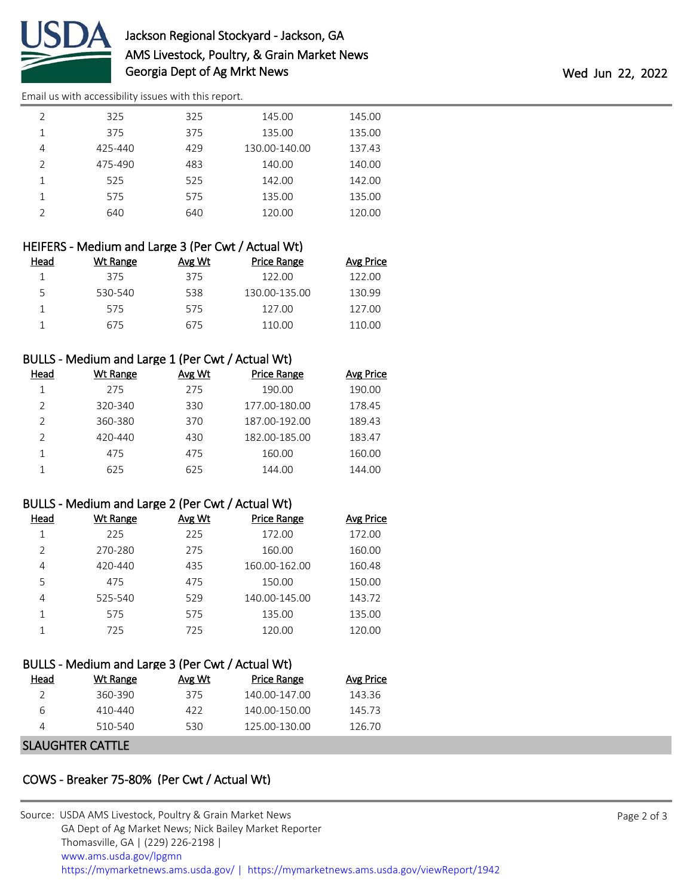

# Jackson Regional Stockyard - Jackson, GA AMS Livestock, Poultry, & Grain Market News Georgia Dept of Ag Mrkt News Wed Jun 22, 2022

[Email us with accessibility issues with this report.](mailto:mars@ams.usda.gov?subject=508%20issue)

| $\mathfrak{D}$ | 325     | 325 | 145.00        | 145.00 |
|----------------|---------|-----|---------------|--------|
|                | 375     | 375 | 135.00        | 135.00 |
| 4              | 425-440 | 429 | 130.00-140.00 | 137.43 |
| $\mathfrak{D}$ | 475-490 | 483 | 140.00        | 140.00 |
|                | 525     | 525 | 142.00        | 142.00 |
| 1              | 575     | 575 | 135.00        | 135.00 |
| $\mathcal{P}$  | 640     | 640 | 120.00        | 120.00 |
|                |         |     |               |        |

|      | HEIFERS - Medium and Large 3 (Per Cwt / Actual Wt) |        |                    |                  |  |  |
|------|----------------------------------------------------|--------|--------------------|------------------|--|--|
| Head | Wt Range                                           | Avg Wt | <b>Price Range</b> | <b>Avg Price</b> |  |  |
|      | 375                                                | 375    | 122.00             | 122.00           |  |  |
| 5.   | 530-540                                            | 538    | 130.00-135.00      | 130.99           |  |  |
|      | 575                                                | 575    | 127.00             | 127.00           |  |  |
|      | 675                                                | 675    | 110.00             | 110.00           |  |  |

## BULLS - Medium and Large 1 (Per Cwt / Actual Wt)

| Head | Wt Range | Avg Wt | Price Range   | <b>Avg Price</b> |
|------|----------|--------|---------------|------------------|
|      | 275      | 275    | 190.00        | 190.00           |
|      | 320-340  | 330    | 177.00-180.00 | 178.45           |
|      | 360-380  | 370    | 187.00-192.00 | 189.43           |
|      | 420-440  | 430    | 182.00-185.00 | 183.47           |
|      | 475      | 475    | 160.00        | 160.00           |
|      | 625      | 625    | 144.00        | 144.00           |

#### BULLS - Medium and Large 2 (Per Cwt / Actual Wt)

| Head          | Wt Range    | Avg Wt | <b>Price Range</b> | Avg Price |
|---------------|-------------|--------|--------------------|-----------|
|               | 225         | 225    | 172.00             | 172.00    |
| $\mathcal{P}$ | 270-280     | 275    | 160.00             | 160.00    |
| 4             | $420 - 440$ | 435    | 160.00-162.00      | 160.48    |
| 5             | 475         | 475    | 150.00             | 150.00    |
| 4             | 525-540     | 529    | 140.00-145.00      | 143.72    |
|               | 575         | 575    | 135.00             | 135.00    |
|               | 725         | 725    | 120.00             | 120.00    |

## BULLS - Medium and Large 3 (Per Cwt / Actual Wt)

| Head | Wt Range         | Avg Wt | Price Range   | Avg Price |
|------|------------------|--------|---------------|-----------|
|      | 360-390          | 375    | 140.00-147.00 | 143 36    |
| 6    | 410-440          | 422    | 140.00-150.00 | 145.73    |
| Δ    | 510-540          | 530    | 125.00-130.00 | 126 70    |
|      | ---------------- |        |               |           |

#### SLAUGHTER CATTLE

# COWS - Breaker 75-80% (Per Cwt / Actual Wt)

| Source: USDA AMS Livestock, Poultry & Grain Market News                                |
|----------------------------------------------------------------------------------------|
| GA Dept of Ag Market News; Nick Bailey Market Reporter                                 |
| Thomasville, GA   (229) 226-2198                                                       |
| www.ams.usda.gov/lpgmn                                                                 |
| https://mymarketnews.ams.usda.gov/   https://mymarketnews.ams.usda.gov/viewReport/1942 |
|                                                                                        |